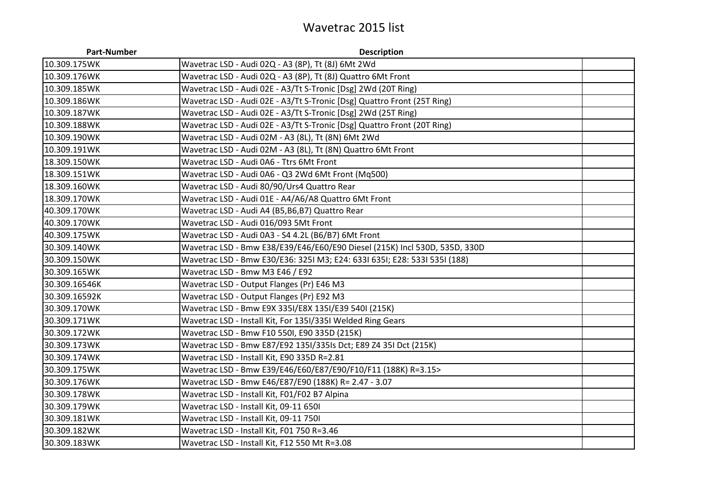## Wavetrac 2015 list

| <b>Part-Number</b> | <b>Description</b>                                                         |  |
|--------------------|----------------------------------------------------------------------------|--|
| 10.309.175WK       | Wavetrac LSD - Audi 02Q - A3 (8P), Tt (8J) 6Mt 2Wd                         |  |
| 10.309.176WK       | Wavetrac LSD - Audi 02Q - A3 (8P), Tt (8J) Quattro 6Mt Front               |  |
| 10.309.185WK       | Wavetrac LSD - Audi 02E - A3/Tt S-Tronic [Dsg] 2Wd (20T Ring)              |  |
| 10.309.186WK       | Wavetrac LSD - Audi 02E - A3/Tt S-Tronic [Dsg] Quattro Front (25T Ring)    |  |
| 10.309.187WK       | Wavetrac LSD - Audi 02E - A3/Tt S-Tronic [Dsg] 2Wd (25T Ring)              |  |
| 10.309.188WK       | Wavetrac LSD - Audi 02E - A3/Tt S-Tronic [Dsg] Quattro Front (20T Ring)    |  |
| 10.309.190WK       | Wavetrac LSD - Audi 02M - A3 (8L), Tt (8N) 6Mt 2Wd                         |  |
| 10.309.191WK       | Wavetrac LSD - Audi 02M - A3 (8L), Tt (8N) Quattro 6Mt Front               |  |
| 18.309.150WK       | Wavetrac LSD - Audi 0A6 - Ttrs 6Mt Front                                   |  |
| 18.309.151WK       | Wavetrac LSD - Audi 0A6 - Q3 2Wd 6Mt Front (Mq500)                         |  |
| 18.309.160WK       | Wavetrac LSD - Audi 80/90/Urs4 Quattro Rear                                |  |
| 18.309.170WK       | Wavetrac LSD - Audi 01E - A4/A6/A8 Quattro 6Mt Front                       |  |
| 40.309.170WK       | Wavetrac LSD - Audi A4 (B5, B6, B7) Quattro Rear                           |  |
| 40.309.170WK       | Wavetrac LSD - Audi 016/093 5Mt Front                                      |  |
| 40.309.175WK       | Wavetrac LSD - Audi 0A3 - S4 4.2L (B6/B7) 6Mt Front                        |  |
| 30.309.140WK       | Wavetrac LSD - Bmw E38/E39/E46/E60/E90 Diesel (215K) Incl 530D, 535D, 330D |  |
| 30.309.150WK       | Wavetrac LSD - Bmw E30/E36: 325I M3; E24: 633I 635I; E28: 533I 535I (188)  |  |
| 30.309.165WK       | Wavetrac LSD - Bmw M3 E46 / E92                                            |  |
| 30.309.16546K      | Wavetrac LSD - Output Flanges (Pr) E46 M3                                  |  |
| 30.309.16592K      | Wavetrac LSD - Output Flanges (Pr) E92 M3                                  |  |
| 30.309.170WK       | Wavetrac LSD - Bmw E9X 335I/E8X 135I/E39 540I (215K)                       |  |
| 30.309.171WK       | Wavetrac LSD - Install Kit, For 1351/3351 Welded Ring Gears                |  |
| 30.309.172WK       | Wavetrac LSD - Bmw F10 550I, E90 335D (215K)                               |  |
| 30.309.173WK       | Wavetrac LSD - Bmw E87/E92 135I/335Is Dct; E89 Z4 35I Dct (215K)           |  |
| 30.309.174WK       | Wavetrac LSD - Install Kit, E90 335D R=2.81                                |  |
| 30.309.175WK       | Wavetrac LSD - Bmw E39/E46/E60/E87/E90/F10/F11 (188K) R=3.15>              |  |
| 30.309.176WK       | Wavetrac LSD - Bmw E46/E87/E90 (188K) R= 2.47 - 3.07                       |  |
| 30.309.178WK       | Wavetrac LSD - Install Kit, F01/F02 B7 Alpina                              |  |
| 30.309.179WK       | Wavetrac LSD - Install Kit, 09-11 650I                                     |  |
| 30.309.181WK       | Wavetrac LSD - Install Kit, 09-11 750I                                     |  |
| 30.309.182WK       | Wavetrac LSD - Install Kit, F01 750 R=3.46                                 |  |
| 30.309.183WK       | Wavetrac LSD - Install Kit, F12 550 Mt R=3.08                              |  |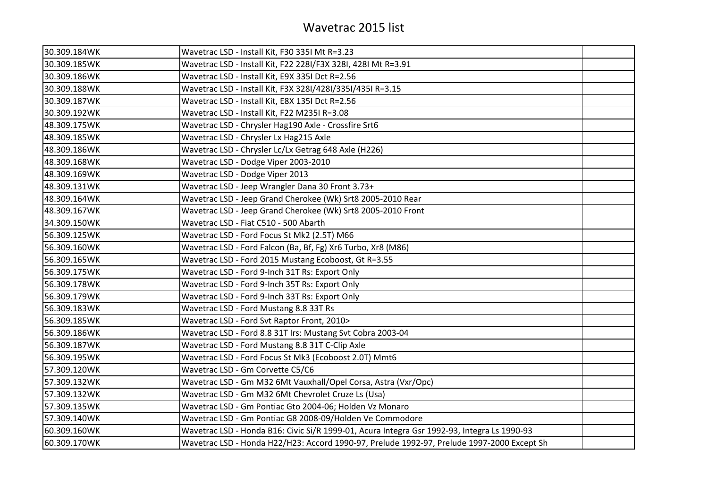| 30.309.184WK | Wavetrac LSD - Install Kit, F30 335I Mt R=3.23                                              |  |
|--------------|---------------------------------------------------------------------------------------------|--|
| 30.309.185WK | Wavetrac LSD - Install Kit, F22 228I/F3X 328I, 428I Mt R=3.91                               |  |
| 30.309.186WK | Wavetrac LSD - Install Kit, E9X 335I Dct R=2.56                                             |  |
| 30.309.188WK | Wavetrac LSD - Install Kit, F3X 328I/428I/335I/435I R=3.15                                  |  |
| 30.309.187WK | Wavetrac LSD - Install Kit, E8X 135I Dct R=2.56                                             |  |
| 30.309.192WK | Wavetrac LSD - Install Kit, F22 M235I R=3.08                                                |  |
| 48.309.175WK | Wavetrac LSD - Chrysler Hag190 Axle - Crossfire Srt6                                        |  |
| 48.309.185WK | Wavetrac LSD - Chrysler Lx Hag215 Axle                                                      |  |
| 48.309.186WK | Wavetrac LSD - Chrysler Lc/Lx Getrag 648 Axle (H226)                                        |  |
| 48.309.168WK | Wavetrac LSD - Dodge Viper 2003-2010                                                        |  |
| 48.309.169WK | Wavetrac LSD - Dodge Viper 2013                                                             |  |
| 48.309.131WK | Wavetrac LSD - Jeep Wrangler Dana 30 Front 3.73+                                            |  |
| 48.309.164WK | Wavetrac LSD - Jeep Grand Cherokee (Wk) Srt8 2005-2010 Rear                                 |  |
| 48.309.167WK | Wavetrac LSD - Jeep Grand Cherokee (Wk) Srt8 2005-2010 Front                                |  |
| 34.309.150WK | Wavetrac LSD - Fiat C510 - 500 Abarth                                                       |  |
| 56.309.125WK | Wavetrac LSD - Ford Focus St Mk2 (2.5T) M66                                                 |  |
| 56.309.160WK | Wavetrac LSD - Ford Falcon (Ba, Bf, Fg) Xr6 Turbo, Xr8 (M86)                                |  |
| 56.309.165WK | Wavetrac LSD - Ford 2015 Mustang Ecoboost, Gt R=3.55                                        |  |
| 56.309.175WK | Wavetrac LSD - Ford 9-Inch 31T Rs: Export Only                                              |  |
| 56.309.178WK | Wavetrac LSD - Ford 9-Inch 35T Rs: Export Only                                              |  |
| 56.309.179WK | Wavetrac LSD - Ford 9-Inch 33T Rs: Export Only                                              |  |
| 56.309.183WK | Wavetrac LSD - Ford Mustang 8.8 33T Rs                                                      |  |
| 56.309.185WK | Wavetrac LSD - Ford Svt Raptor Front, 2010>                                                 |  |
| 56.309.186WK | Wavetrac LSD - Ford 8.8 31T Irs: Mustang Svt Cobra 2003-04                                  |  |
| 56.309.187WK | Wavetrac LSD - Ford Mustang 8.8 31T C-Clip Axle                                             |  |
| 56.309.195WK | Wavetrac LSD - Ford Focus St Mk3 (Ecoboost 2.0T) Mmt6                                       |  |
| 57.309.120WK | Wavetrac LSD - Gm Corvette C5/C6                                                            |  |
| 57.309.132WK | Wavetrac LSD - Gm M32 6Mt Vauxhall/Opel Corsa, Astra (Vxr/Opc)                              |  |
| 57.309.132WK | Wavetrac LSD - Gm M32 6Mt Chevrolet Cruze Ls (Usa)                                          |  |
| 57.309.135WK | Wavetrac LSD - Gm Pontiac Gto 2004-06; Holden Vz Monaro                                     |  |
| 57.309.140WK | Wavetrac LSD - Gm Pontiac G8 2008-09/Holden Ve Commodore                                    |  |
| 60.309.160WK | Wavetrac LSD - Honda B16: Civic Si/R 1999-01, Acura Integra Gsr 1992-93, Integra Ls 1990-93 |  |
| 60.309.170WK | Wavetrac LSD - Honda H22/H23: Accord 1990-97, Prelude 1992-97, Prelude 1997-2000 Except Sh  |  |
|              |                                                                                             |  |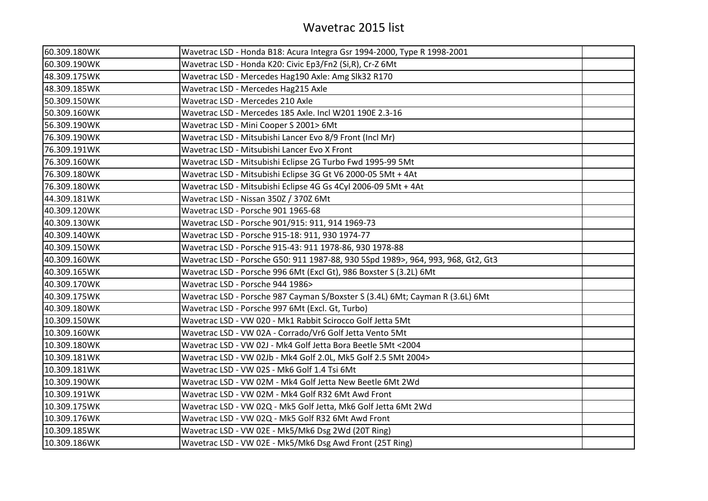| 60.309.180WK | Wavetrac LSD - Honda B18: Acura Integra Gsr 1994-2000, Type R 1998-2001          |  |
|--------------|----------------------------------------------------------------------------------|--|
| 60.309.190WK | Wavetrac LSD - Honda K20: Civic Ep3/Fn2 (Si,R), Cr-Z 6Mt                         |  |
| 48.309.175WK | Wavetrac LSD - Mercedes Hag190 Axle: Amg Slk32 R170                              |  |
| 48.309.185WK | Wavetrac LSD - Mercedes Hag215 Axle                                              |  |
| 50.309.150WK | Wavetrac LSD - Mercedes 210 Axle                                                 |  |
| 50.309.160WK | Wavetrac LSD - Mercedes 185 Axle. Incl W201 190E 2.3-16                          |  |
| 56.309.190WK | Wavetrac LSD - Mini Cooper S 2001> 6Mt                                           |  |
| 76.309.190WK | Wavetrac LSD - Mitsubishi Lancer Evo 8/9 Front (Incl Mr)                         |  |
| 76.309.191WK | Wavetrac LSD - Mitsubishi Lancer Evo X Front                                     |  |
| 76.309.160WK | Wavetrac LSD - Mitsubishi Eclipse 2G Turbo Fwd 1995-99 5Mt                       |  |
| 76.309.180WK | Wavetrac LSD - Mitsubishi Eclipse 3G Gt V6 2000-05 5Mt + 4At                     |  |
| 76.309.180WK | Wavetrac LSD - Mitsubishi Eclipse 4G Gs 4Cyl 2006-09 5Mt + 4At                   |  |
| 44.309.181WK | Wavetrac LSD - Nissan 350Z / 370Z 6Mt                                            |  |
| 40.309.120WK | Wavetrac LSD - Porsche 901 1965-68                                               |  |
| 40.309.130WK | Wavetrac LSD - Porsche 901/915: 911, 914 1969-73                                 |  |
| 40.309.140WK | Wavetrac LSD - Porsche 915-18: 911, 930 1974-77                                  |  |
| 40.309.150WK | Wavetrac LSD - Porsche 915-43: 911 1978-86, 930 1978-88                          |  |
| 40.309.160WK | Wavetrac LSD - Porsche G50: 911 1987-88, 930 5Spd 1989>, 964, 993, 968, Gt2, Gt3 |  |
| 40.309.165WK | Wavetrac LSD - Porsche 996 6Mt (Excl Gt), 986 Boxster S (3.2L) 6Mt               |  |
| 40.309.170WK | Wavetrac LSD - Porsche 944 1986>                                                 |  |
| 40.309.175WK | Wavetrac LSD - Porsche 987 Cayman S/Boxster S (3.4L) 6Mt; Cayman R (3.6L) 6Mt    |  |
| 40.309.180WK | Wavetrac LSD - Porsche 997 6Mt (Excl. Gt, Turbo)                                 |  |
| 10.309.150WK | Wavetrac LSD - VW 020 - Mk1 Rabbit Scirocco Golf Jetta 5Mt                       |  |
| 10.309.160WK | Wavetrac LSD - VW 02A - Corrado/Vr6 Golf Jetta Vento 5Mt                         |  |
| 10.309.180WK | Wavetrac LSD - VW 02J - Mk4 Golf Jetta Bora Beetle 5Mt <2004                     |  |
| 10.309.181WK | Wavetrac LSD - VW 02Jb - Mk4 Golf 2.0L, Mk5 Golf 2.5 5Mt 2004>                   |  |
| 10.309.181WK | Wavetrac LSD - VW 02S - Mk6 Golf 1.4 Tsi 6Mt                                     |  |
| 10.309.190WK | Wavetrac LSD - VW 02M - Mk4 Golf Jetta New Beetle 6Mt 2Wd                        |  |
| 10.309.191WK | Wavetrac LSD - VW 02M - Mk4 Golf R32 6Mt Awd Front                               |  |
| 10.309.175WK | Wavetrac LSD - VW 02Q - Mk5 Golf Jetta, Mk6 Golf Jetta 6Mt 2Wd                   |  |
| 10.309.176WK | Wavetrac LSD - VW 02Q - Mk5 Golf R32 6Mt Awd Front                               |  |
| 10.309.185WK | Wavetrac LSD - VW 02E - Mk5/Mk6 Dsg 2Wd (20T Ring)                               |  |
| 10.309.186WK | Wavetrac LSD - VW 02E - Mk5/Mk6 Dsg Awd Front (25T Ring)                         |  |
|              |                                                                                  |  |